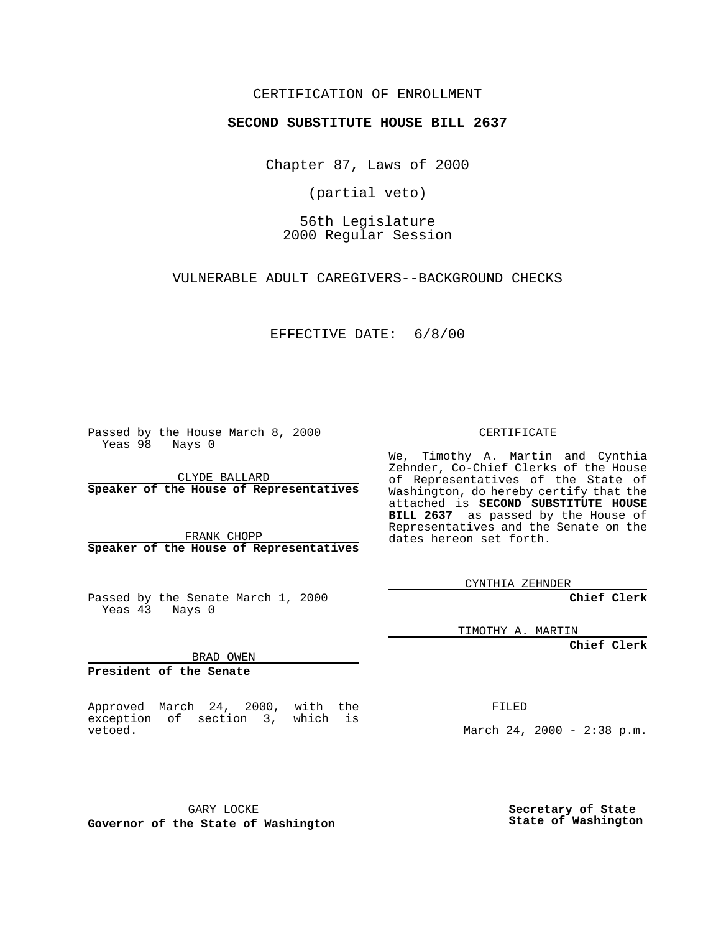#### CERTIFICATION OF ENROLLMENT

# **SECOND SUBSTITUTE HOUSE BILL 2637**

Chapter 87, Laws of 2000

(partial veto)

56th Legislature 2000 Regular Session

VULNERABLE ADULT CAREGIVERS--BACKGROUND CHECKS

EFFECTIVE DATE: 6/8/00

Passed by the House March 8, 2000 Yeas 98 Nays 0

CLYDE BALLARD **Speaker of the House of Representatives**

FRANK CHOPP **Speaker of the House of Representatives**

Passed by the Senate March 1, 2000 Yeas 43 Nays 0

TIMOTHY A. MARTIN

**Chief Clerk**

BRAD OWEN

**President of the Senate**

Approved March 24, 2000, with the exception of section 3, which is vetoed.

FILED

March 24, 2000 - 2:38 p.m.

GARY LOCKE

**Governor of the State of Washington**

**Secretary of State State of Washington**

CERTIFICATE

We, Timothy A. Martin and Cynthia Zehnder, Co-Chief Clerks of the House of Representatives of the State of Washington, do hereby certify that the attached is **SECOND SUBSTITUTE HOUSE BILL 2637** as passed by the House of Representatives and the Senate on the dates hereon set forth.

CYNTHIA ZEHNDER

**Chief Clerk**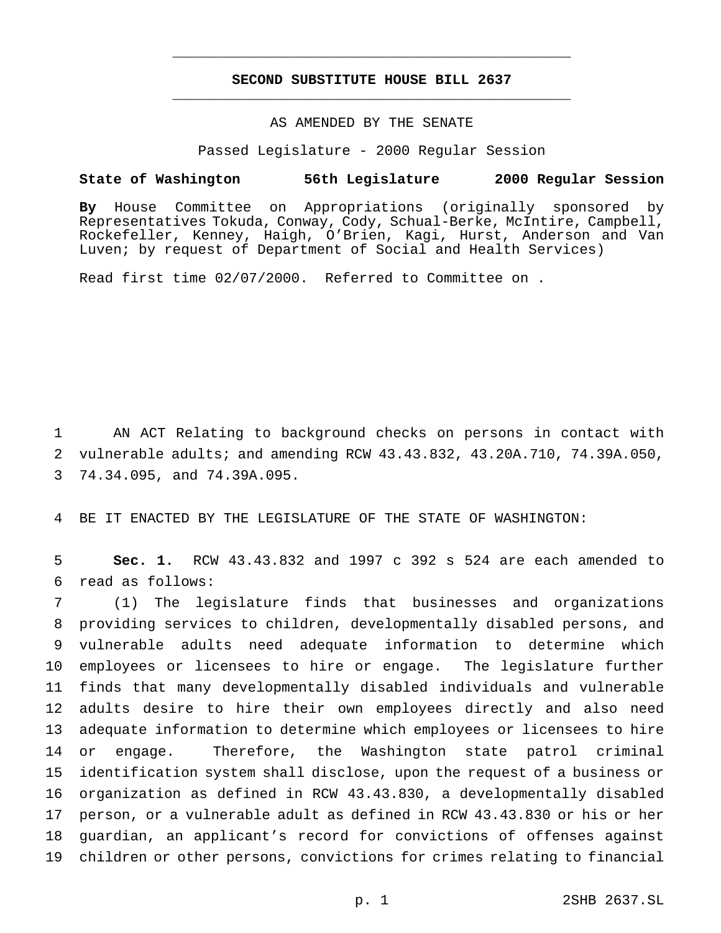## **SECOND SUBSTITUTE HOUSE BILL 2637** \_\_\_\_\_\_\_\_\_\_\_\_\_\_\_\_\_\_\_\_\_\_\_\_\_\_\_\_\_\_\_\_\_\_\_\_\_\_\_\_\_\_\_\_\_\_\_

\_\_\_\_\_\_\_\_\_\_\_\_\_\_\_\_\_\_\_\_\_\_\_\_\_\_\_\_\_\_\_\_\_\_\_\_\_\_\_\_\_\_\_\_\_\_\_

### AS AMENDED BY THE SENATE

Passed Legislature - 2000 Regular Session

#### **State of Washington 56th Legislature 2000 Regular Session**

**By** House Committee on Appropriations (originally sponsored by Representatives Tokuda, Conway, Cody, Schual-Berke, McIntire, Campbell, Rockefeller, Kenney, Haigh, O'Brien, Kagi, Hurst, Anderson and Van Luven; by request of Department of Social and Health Services)

Read first time 02/07/2000. Referred to Committee on .

 AN ACT Relating to background checks on persons in contact with vulnerable adults; and amending RCW 43.43.832, 43.20A.710, 74.39A.050, 74.34.095, and 74.39A.095.

BE IT ENACTED BY THE LEGISLATURE OF THE STATE OF WASHINGTON:

 **Sec. 1.** RCW 43.43.832 and 1997 c 392 s 524 are each amended to read as follows:

 (1) The legislature finds that businesses and organizations providing services to children, developmentally disabled persons, and vulnerable adults need adequate information to determine which employees or licensees to hire or engage. The legislature further finds that many developmentally disabled individuals and vulnerable adults desire to hire their own employees directly and also need adequate information to determine which employees or licensees to hire or engage. Therefore, the Washington state patrol criminal identification system shall disclose, upon the request of a business or organization as defined in RCW 43.43.830, a developmentally disabled person, or a vulnerable adult as defined in RCW 43.43.830 or his or her guardian, an applicant's record for convictions of offenses against children or other persons, convictions for crimes relating to financial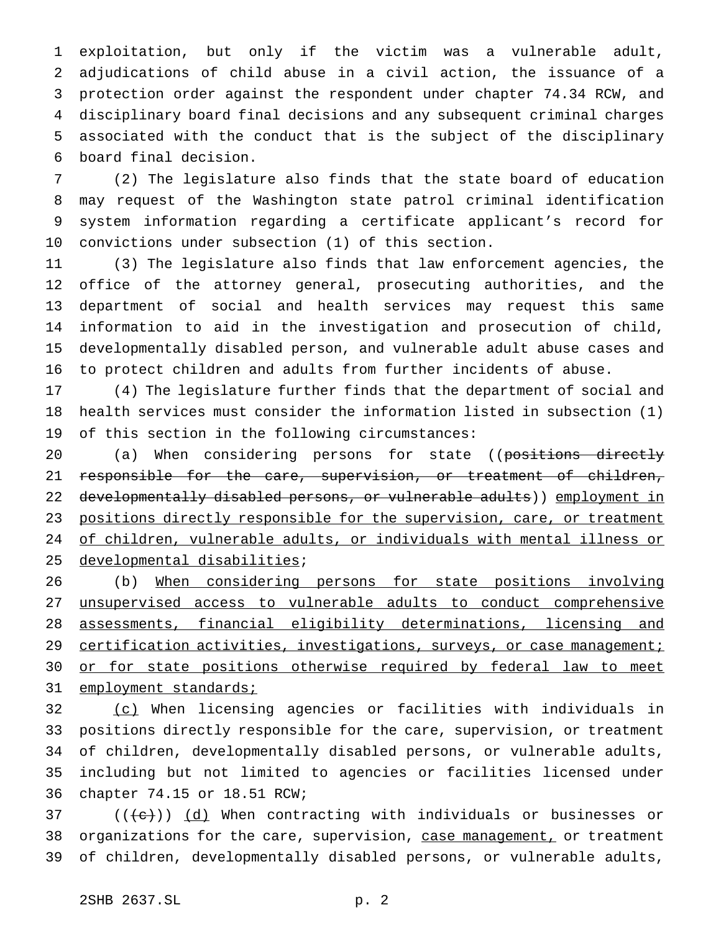exploitation, but only if the victim was a vulnerable adult, adjudications of child abuse in a civil action, the issuance of a protection order against the respondent under chapter 74.34 RCW, and disciplinary board final decisions and any subsequent criminal charges associated with the conduct that is the subject of the disciplinary board final decision.

 (2) The legislature also finds that the state board of education may request of the Washington state patrol criminal identification system information regarding a certificate applicant's record for convictions under subsection (1) of this section.

 (3) The legislature also finds that law enforcement agencies, the office of the attorney general, prosecuting authorities, and the department of social and health services may request this same information to aid in the investigation and prosecution of child, developmentally disabled person, and vulnerable adult abuse cases and to protect children and adults from further incidents of abuse.

 (4) The legislature further finds that the department of social and health services must consider the information listed in subsection (1) of this section in the following circumstances:

20 (a) When considering persons for state ((positions directly 21 responsible for the care, supervision, or treatment of children, 22 developmentally disabled persons, or vulnerable adults)) employment in 23 positions directly responsible for the supervision, care, or treatment of children, vulnerable adults, or individuals with mental illness or developmental disabilities;

 (b) When considering persons for state positions involving unsupervised access to vulnerable adults to conduct comprehensive assessments, financial eligibility determinations, licensing and 29 certification activities, investigations, surveys, or case management; 30 or for state positions otherwise required by federal law to meet 31 employment standards;

 (c) When licensing agencies or facilities with individuals in positions directly responsible for the care, supervision, or treatment of children, developmentally disabled persons, or vulnerable adults, including but not limited to agencies or facilities licensed under chapter 74.15 or 18.51 RCW;

 (( $\left(\frac{1}{10}\right)$ ) (d) When contracting with individuals or businesses or 38 organizations for the care, supervision, case management, or treatment of children, developmentally disabled persons, or vulnerable adults,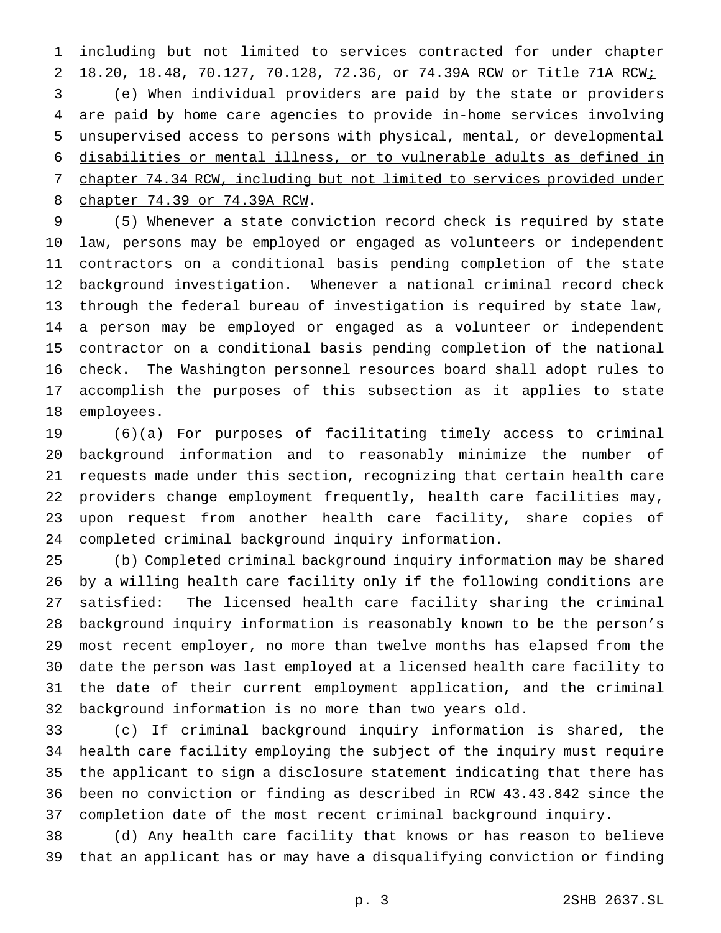including but not limited to services contracted for under chapter 18.20, 18.48, 70.127, 70.128, 72.36, or 74.39A RCW or Title 71A RCW; (e) When individual providers are paid by the state or providers are paid by home care agencies to provide in-home services involving unsupervised access to persons with physical, mental, or developmental disabilities or mental illness, or to vulnerable adults as defined in chapter 74.34 RCW, including but not limited to services provided under chapter 74.39 or 74.39A RCW.

 (5) Whenever a state conviction record check is required by state law, persons may be employed or engaged as volunteers or independent contractors on a conditional basis pending completion of the state background investigation. Whenever a national criminal record check through the federal bureau of investigation is required by state law, a person may be employed or engaged as a volunteer or independent contractor on a conditional basis pending completion of the national check. The Washington personnel resources board shall adopt rules to accomplish the purposes of this subsection as it applies to state employees.

 (6)(a) For purposes of facilitating timely access to criminal background information and to reasonably minimize the number of requests made under this section, recognizing that certain health care providers change employment frequently, health care facilities may, upon request from another health care facility, share copies of completed criminal background inquiry information.

 (b) Completed criminal background inquiry information may be shared by a willing health care facility only if the following conditions are satisfied: The licensed health care facility sharing the criminal background inquiry information is reasonably known to be the person's most recent employer, no more than twelve months has elapsed from the date the person was last employed at a licensed health care facility to the date of their current employment application, and the criminal background information is no more than two years old.

 (c) If criminal background inquiry information is shared, the health care facility employing the subject of the inquiry must require the applicant to sign a disclosure statement indicating that there has been no conviction or finding as described in RCW 43.43.842 since the completion date of the most recent criminal background inquiry.

 (d) Any health care facility that knows or has reason to believe that an applicant has or may have a disqualifying conviction or finding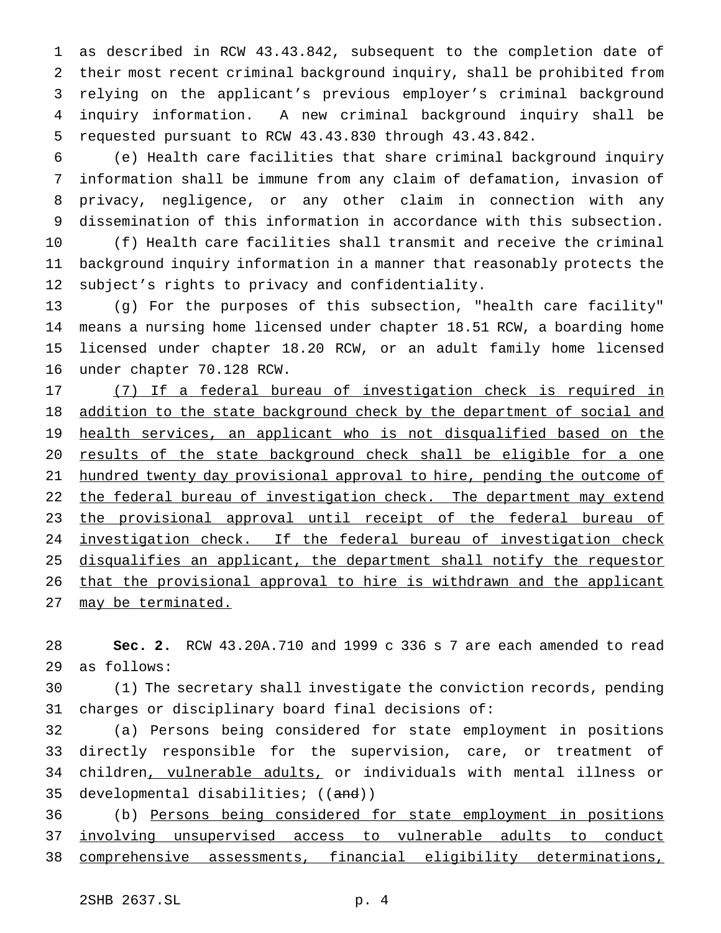as described in RCW 43.43.842, subsequent to the completion date of their most recent criminal background inquiry, shall be prohibited from relying on the applicant's previous employer's criminal background inquiry information. A new criminal background inquiry shall be requested pursuant to RCW 43.43.830 through 43.43.842.

 (e) Health care facilities that share criminal background inquiry information shall be immune from any claim of defamation, invasion of privacy, negligence, or any other claim in connection with any dissemination of this information in accordance with this subsection.

 (f) Health care facilities shall transmit and receive the criminal background inquiry information in a manner that reasonably protects the subject's rights to privacy and confidentiality.

 (g) For the purposes of this subsection, "health care facility" means a nursing home licensed under chapter 18.51 RCW, a boarding home licensed under chapter 18.20 RCW, or an adult family home licensed under chapter 70.128 RCW.

 (7) If a federal bureau of investigation check is required in 18 addition to the state background check by the department of social and health services, an applicant who is not disqualified based on the 20 results of the state background check shall be eligible for a one hundred twenty day provisional approval to hire, pending the outcome of 22 the federal bureau of investigation check. The department may extend 23 the provisional approval until receipt of the federal bureau of 24 investigation check. If the federal bureau of investigation check 25 disqualifies an applicant, the department shall notify the requestor that the provisional approval to hire is withdrawn and the applicant may be terminated.

 **Sec. 2.** RCW 43.20A.710 and 1999 c 336 s 7 are each amended to read as follows:

 (1) The secretary shall investigate the conviction records, pending charges or disciplinary board final decisions of:

 (a) Persons being considered for state employment in positions directly responsible for the supervision, care, or treatment of children, vulnerable adults, or individuals with mental illness or 35 developmental disabilities; ((and))

 (b) Persons being considered for state employment in positions involving unsupervised access to vulnerable adults to conduct comprehensive assessments, financial eligibility determinations,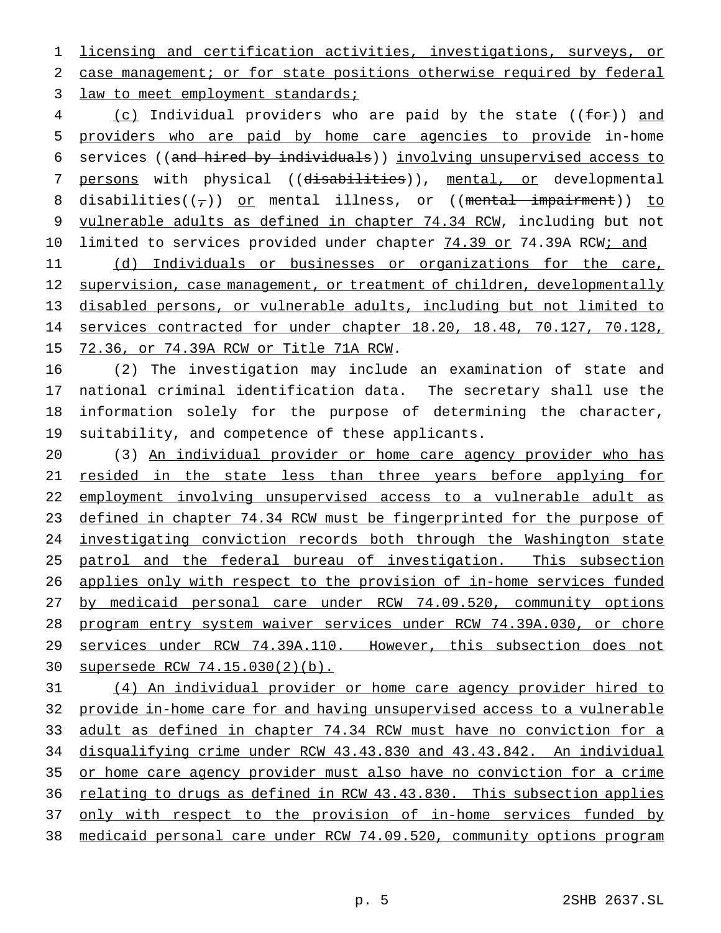licensing and certification activities, investigations, surveys, or case management; or for state positions otherwise required by federal 3 law to meet employment standards;

4 (c) Individual providers who are paid by the state ((for)) and providers who are paid by home care agencies to provide in-home services ((and hired by individuals)) involving unsupervised access to 7 persons with physical ((disabilities)), mental, or developmental 8 disabilities( $(\tau)$ ) or mental illness, or ((mental impairment)) to vulnerable adults as defined in chapter 74.34 RCW, including but not 10 limited to services provided under chapter 74.39 or 74.39A RCW; and

11 (d) Individuals or businesses or organizations for the care, 12 supervision, case management, or treatment of children, developmentally disabled persons, or vulnerable adults, including but not limited to services contracted for under chapter 18.20, 18.48, 70.127, 70.128, 72.36, or 74.39A RCW or Title 71A RCW.

 (2) The investigation may include an examination of state and national criminal identification data. The secretary shall use the information solely for the purpose of determining the character, suitability, and competence of these applicants.

 (3) An individual provider or home care agency provider who has resided in the state less than three years before applying for employment involving unsupervised access to a vulnerable adult as 23 defined in chapter 74.34 RCW must be fingerprinted for the purpose of investigating conviction records both through the Washington state patrol and the federal bureau of investigation. This subsection applies only with respect to the provision of in-home services funded by medicaid personal care under RCW 74.09.520, community options program entry system waiver services under RCW 74.39A.030, or chore services under RCW 74.39A.110. However, this subsection does not supersede RCW 74.15.030(2)(b).

 (4) An individual provider or home care agency provider hired to provide in-home care for and having unsupervised access to a vulnerable adult as defined in chapter 74.34 RCW must have no conviction for a disqualifying crime under RCW 43.43.830 and 43.43.842. An individual or home care agency provider must also have no conviction for a crime 36 relating to drugs as defined in RCW 43.43.830. This subsection applies 37 only with respect to the provision of in-home services funded by medicaid personal care under RCW 74.09.520, community options program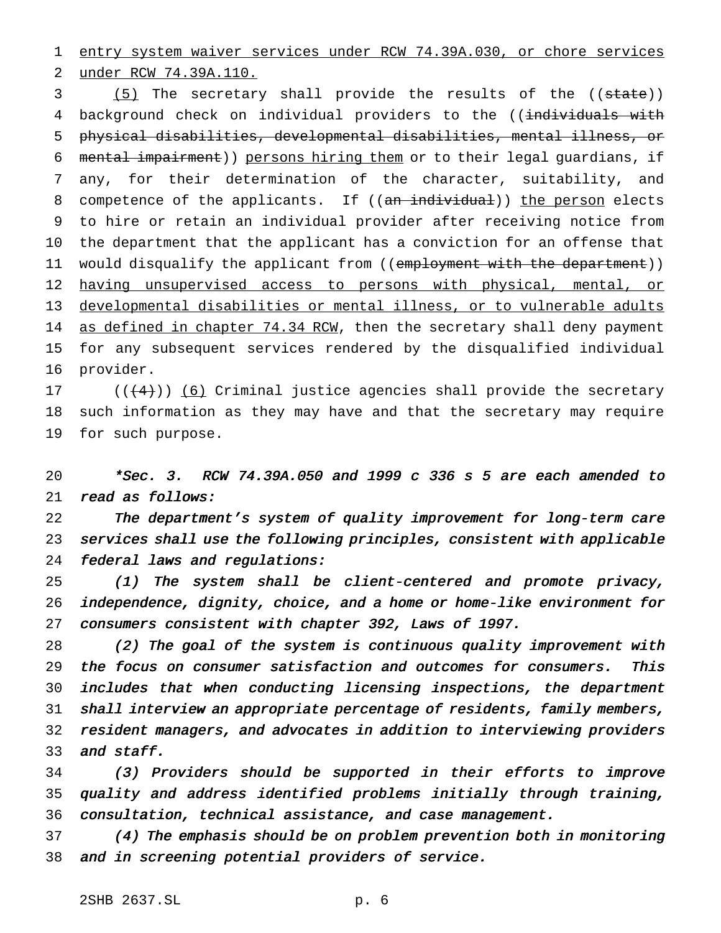entry system waiver services under RCW 74.39A.030, or chore services under RCW 74.39A.110.

3 (5) The secretary shall provide the results of the ((state)) 4 background check on individual providers to the ((individuals with physical disabilities, developmental disabilities, mental illness, or mental impairment)) persons hiring them or to their legal guardians, if any, for their determination of the character, suitability, and 8 competence of the applicants. If ((an individual)) the person elects to hire or retain an individual provider after receiving notice from the department that the applicant has a conviction for an offense that 11 would disqualify the applicant from ((employment with the department)) 12 having unsupervised access to persons with physical, mental, or developmental disabilities or mental illness, or to vulnerable adults 14 as defined in chapter 74.34 RCW, then the secretary shall deny payment for any subsequent services rendered by the disqualified individual provider.

 $((+4))$   $(6)$  Criminal justice agencies shall provide the secretary such information as they may have and that the secretary may require for such purpose.

 \*Sec. 3. RCW 74.39A.050 and <sup>1999</sup> <sup>c</sup> <sup>336</sup> <sup>s</sup> <sup>5</sup> are each amended to read as follows:

 The department's system of quality improvement for long-term care services shall use the following principles, consistent with applicable federal laws and regulations:

 (1) The system shall be client-centered and promote privacy, independence, dignity, choice, and <sup>a</sup> home or home-like environment for consumers consistent with chapter 392, Laws of 1997.

 (2) The goal of the system is continuous quality improvement with the focus on consumer satisfaction and outcomes for consumers. This includes that when conducting licensing inspections, the department shall interview an appropriate percentage of residents, family members, resident managers, and advocates in addition to interviewing providers 33 and staff.

 (3) Providers should be supported in their efforts to improve quality and address identified problems initially through training, consultation, technical assistance, and case management.

 (4) The emphasis should be on problem prevention both in monitoring and in screening potential providers of service.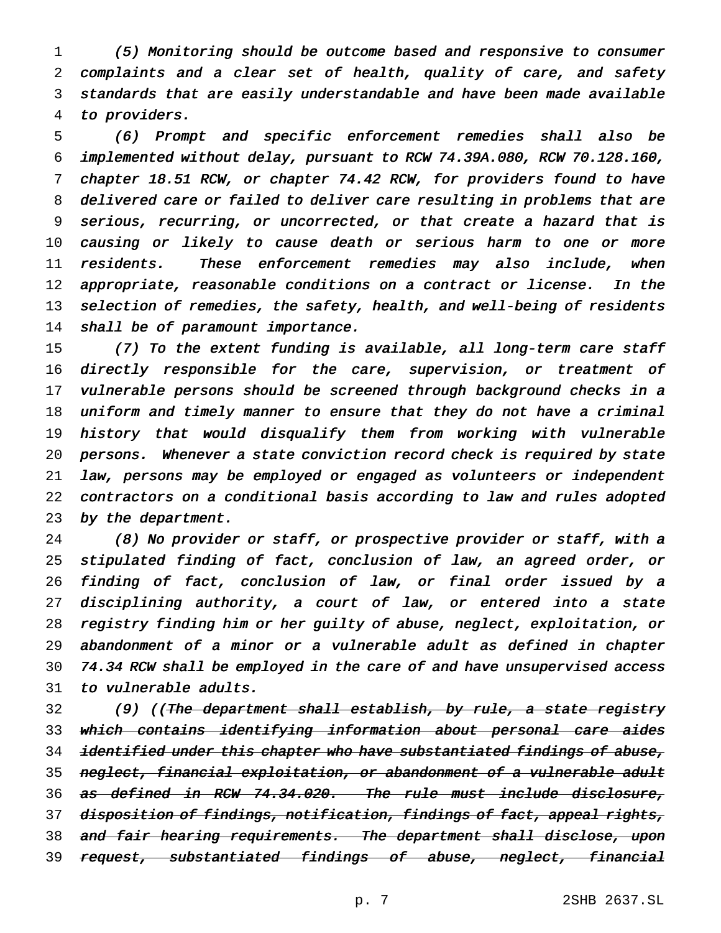(5) Monitoring should be outcome based and responsive to consumer complaints and <sup>a</sup> clear set of health, quality of care, and safety standards that are easily understandable and have been made available to providers.

 (6) Prompt and specific enforcement remedies shall also be implemented without delay, pursuant to RCW 74.39A.080, RCW 70.128.160, chapter 18.51 RCW, or chapter 74.42 RCW, for providers found to have delivered care or failed to deliver care resulting in problems that are serious, recurring, or uncorrected, or that create <sup>a</sup> hazard that is causing or likely to cause death or serious harm to one or more residents. These enforcement remedies may also include, when appropriate, reasonable conditions on <sup>a</sup> contract or license. In the 13 selection of remedies, the safety, health, and well-being of residents 14 shall be of paramount importance.

 (7) To the extent funding is available, all long-term care staff 16 directly responsible for the care, supervision, or treatment of 17 vulnerable persons should be screened through background checks in a uniform and timely manner to ensure that they do not have <sup>a</sup> criminal history that would disqualify them from working with vulnerable persons. Whenever <sup>a</sup> state conviction record check is required by state law, persons may be employed or engaged as volunteers or independent contractors on <sup>a</sup> conditional basis according to law and rules adopted 23 by the department.

 (8) No provider or staff, or prospective provider or staff, with <sup>a</sup> stipulated finding of fact, conclusion of law, an agreed order, or finding of fact, conclusion of law, or final order issued by <sup>a</sup> disciplining authority, <sup>a</sup> court of law, or entered into <sup>a</sup> state registry finding him or her guilty of abuse, neglect, exploitation, or abandonment of <sup>a</sup> minor or <sup>a</sup> vulnerable adult as defined in chapter 74.34 RCW shall be employed in the care of and have unsupervised access to vulnerable adults.

32 (9) ((<del>The department shall establish, by rule, a state registry</del> which contains identifying information about personal care aides 34 identified under this chapter who have substantiated findings of abuse, 35 neglect, financial exploitation, or abandonment of a vulnerable adult as defined in RCW 74.34.020. The rule must include disclosure, 37 disposition of findings, notification, findings of fact, appeal rights, 38 <del>and fair hearing requirements. The department shall disclose, upon</del> 39 request, substantiated findings of abuse, neglect, financial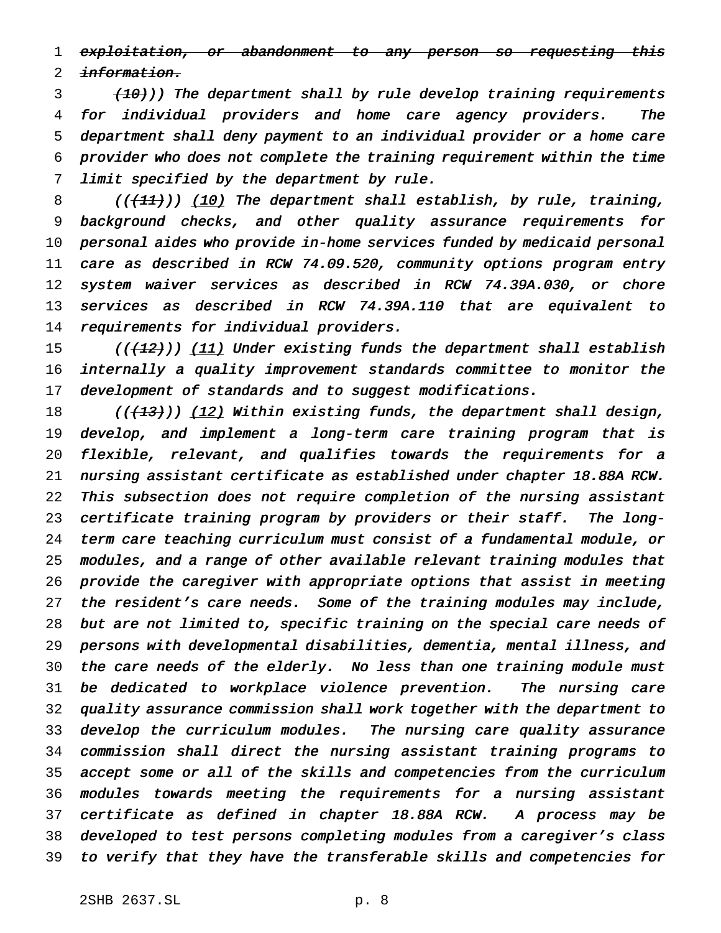1 exploitation, or abandonment to any person so requesting this 2 information.

3 (10))) The department shall by rule develop training requirements for individual providers and home care agency providers. The department shall deny payment to an individual provider or <sup>a</sup> home care provider who does not complete the training requirement within the time limit specified by the department by rule.

8 (( $(11)$ )) (10) The department shall establish, by rule, training, background checks, and other quality assurance requirements for personal aides who provide in-home services funded by medicaid personal care as described in RCW 74.09.520, community options program entry system waiver services as described in RCW 74.39A.030, or chore services as described in RCW 74.39A.110 that are equivalent to requirements for individual providers.

15 (((12))) (11) Under existing funds the department shall establish internally <sup>a</sup> quality improvement standards committee to monitor the 17 development of standards and to suggest modifications.

18 ((<del>(13)</del>)) <u>(12)</u> Within existing funds, the department shall design, develop, and implement <sup>a</sup> long-term care training program that is flexible, relevant, and qualifies towards the requirements for <sup>a</sup> nursing assistant certificate as established under chapter 18.88A RCW. This subsection does not require completion of the nursing assistant certificate training program by providers or their staff. The long- term care teaching curriculum must consist of <sup>a</sup> fundamental module, or modules, and <sup>a</sup> range of other available relevant training modules that provide the caregiver with appropriate options that assist in meeting 27 the resident's care needs. Some of the training modules may include, but are not limited to, specific training on the special care needs of persons with developmental disabilities, dementia, mental illness, and the care needs of the elderly. No less than one training module must be dedicated to workplace violence prevention. The nursing care quality assurance commission shall work together with the department to develop the curriculum modules. The nursing care quality assurance commission shall direct the nursing assistant training programs to accept some or all of the skills and competencies from the curriculum modules towards meeting the requirements for <sup>a</sup> nursing assistant certificate as defined in chapter 18.88A RCW. <sup>A</sup> process may be developed to test persons completing modules from <sup>a</sup> caregiver's class to verify that they have the transferable skills and competencies for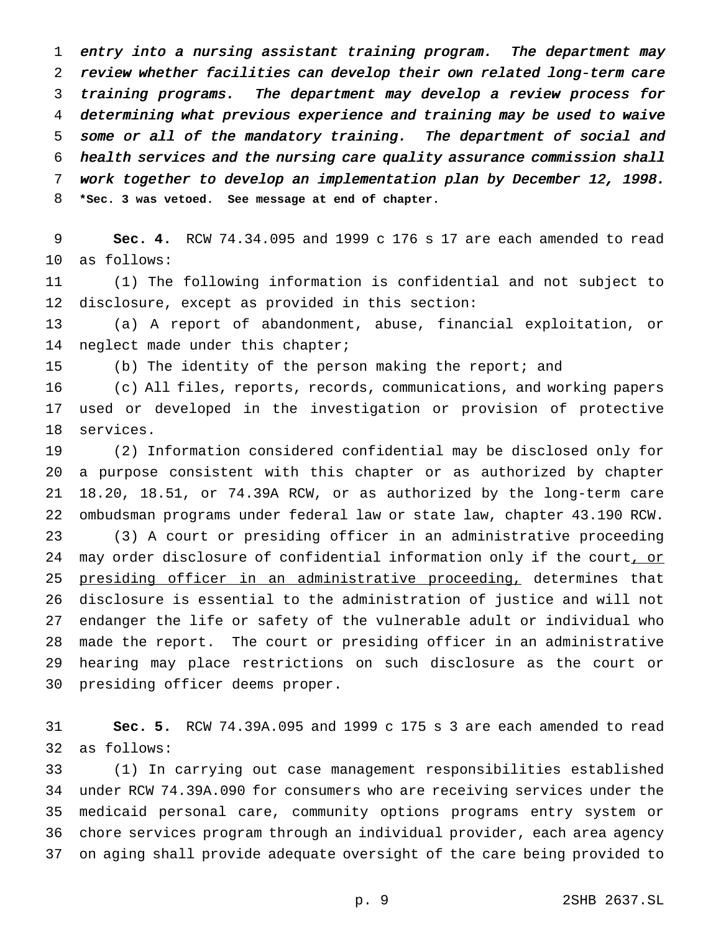entry into <sup>a</sup> nursing assistant training program. The department may review whether facilities can develop their own related long-term care training programs. The department may develop <sup>a</sup> review process for determining what previous experience and training may be used to waive some or all of the mandatory training. The department of social and health services and the nursing care quality assurance commission shall work together to develop an implementation plan by December 12, 1998. **\*Sec. 3 was vetoed. See message at end of chapter.**

 **Sec. 4.** RCW 74.34.095 and 1999 c 176 s 17 are each amended to read as follows:

 (1) The following information is confidential and not subject to disclosure, except as provided in this section:

 (a) A report of abandonment, abuse, financial exploitation, or 14 neglect made under this chapter;

(b) The identity of the person making the report; and

 (c) All files, reports, records, communications, and working papers used or developed in the investigation or provision of protective services.

 (2) Information considered confidential may be disclosed only for a purpose consistent with this chapter or as authorized by chapter 18.20, 18.51, or 74.39A RCW, or as authorized by the long-term care ombudsman programs under federal law or state law, chapter 43.190 RCW. (3) A court or presiding officer in an administrative proceeding 24 may order disclosure of confidential information only if the court, or presiding officer in an administrative proceeding, determines that disclosure is essential to the administration of justice and will not endanger the life or safety of the vulnerable adult or individual who made the report. The court or presiding officer in an administrative hearing may place restrictions on such disclosure as the court or presiding officer deems proper.

 **Sec. 5.** RCW 74.39A.095 and 1999 c 175 s 3 are each amended to read as follows:

 (1) In carrying out case management responsibilities established under RCW 74.39A.090 for consumers who are receiving services under the medicaid personal care, community options programs entry system or chore services program through an individual provider, each area agency on aging shall provide adequate oversight of the care being provided to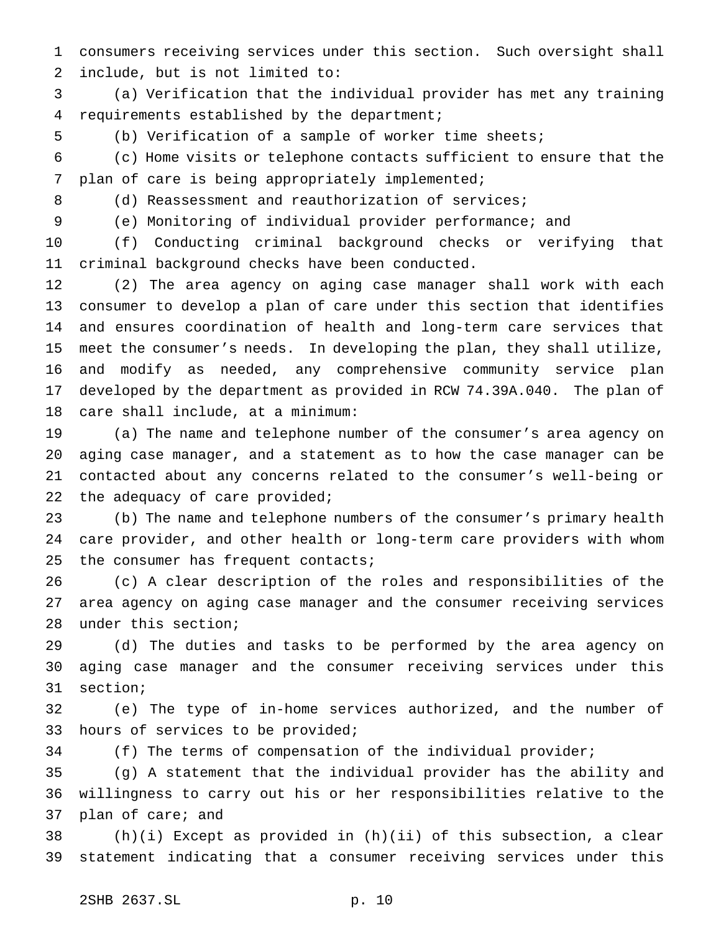consumers receiving services under this section. Such oversight shall include, but is not limited to:

 (a) Verification that the individual provider has met any training requirements established by the department;

(b) Verification of a sample of worker time sheets;

 (c) Home visits or telephone contacts sufficient to ensure that the plan of care is being appropriately implemented;

8 (d) Reassessment and reauthorization of services;

(e) Monitoring of individual provider performance; and

 (f) Conducting criminal background checks or verifying that criminal background checks have been conducted.

 (2) The area agency on aging case manager shall work with each consumer to develop a plan of care under this section that identifies and ensures coordination of health and long-term care services that meet the consumer's needs. In developing the plan, they shall utilize, and modify as needed, any comprehensive community service plan developed by the department as provided in RCW 74.39A.040. The plan of care shall include, at a minimum:

 (a) The name and telephone number of the consumer's area agency on aging case manager, and a statement as to how the case manager can be contacted about any concerns related to the consumer's well-being or the adequacy of care provided;

 (b) The name and telephone numbers of the consumer's primary health care provider, and other health or long-term care providers with whom 25 the consumer has frequent contacts;

 (c) A clear description of the roles and responsibilities of the area agency on aging case manager and the consumer receiving services under this section;

 (d) The duties and tasks to be performed by the area agency on aging case manager and the consumer receiving services under this section;

 (e) The type of in-home services authorized, and the number of hours of services to be provided;

(f) The terms of compensation of the individual provider;

 (g) A statement that the individual provider has the ability and willingness to carry out his or her responsibilities relative to the plan of care; and

 (h)(i) Except as provided in (h)(ii) of this subsection, a clear statement indicating that a consumer receiving services under this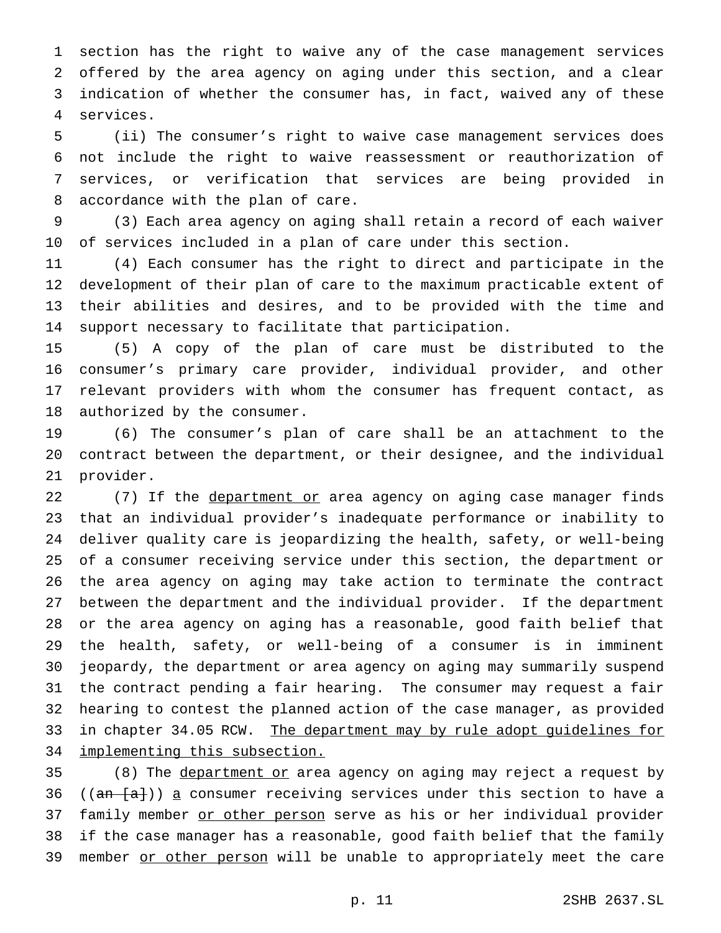section has the right to waive any of the case management services offered by the area agency on aging under this section, and a clear indication of whether the consumer has, in fact, waived any of these services.

 (ii) The consumer's right to waive case management services does not include the right to waive reassessment or reauthorization of services, or verification that services are being provided in accordance with the plan of care.

 (3) Each area agency on aging shall retain a record of each waiver of services included in a plan of care under this section.

 (4) Each consumer has the right to direct and participate in the development of their plan of care to the maximum practicable extent of their abilities and desires, and to be provided with the time and support necessary to facilitate that participation.

 (5) A copy of the plan of care must be distributed to the consumer's primary care provider, individual provider, and other relevant providers with whom the consumer has frequent contact, as authorized by the consumer.

 (6) The consumer's plan of care shall be an attachment to the contract between the department, or their designee, and the individual provider.

22 (7) If the department or area agency on aging case manager finds that an individual provider's inadequate performance or inability to deliver quality care is jeopardizing the health, safety, or well-being of a consumer receiving service under this section, the department or the area agency on aging may take action to terminate the contract between the department and the individual provider. If the department or the area agency on aging has a reasonable, good faith belief that the health, safety, or well-being of a consumer is in imminent jeopardy, the department or area agency on aging may summarily suspend the contract pending a fair hearing. The consumer may request a fair hearing to contest the planned action of the case manager, as provided 33 in chapter 34.05 RCW. The department may by rule adopt guidelines for 34 implementing this subsection.

35 (8) The department or area agency on aging may reject a request by 36 (( $an \{a\}$ )) a consumer receiving services under this section to have a 37 family member or other person serve as his or her individual provider if the case manager has a reasonable, good faith belief that the family 39 member or other person will be unable to appropriately meet the care